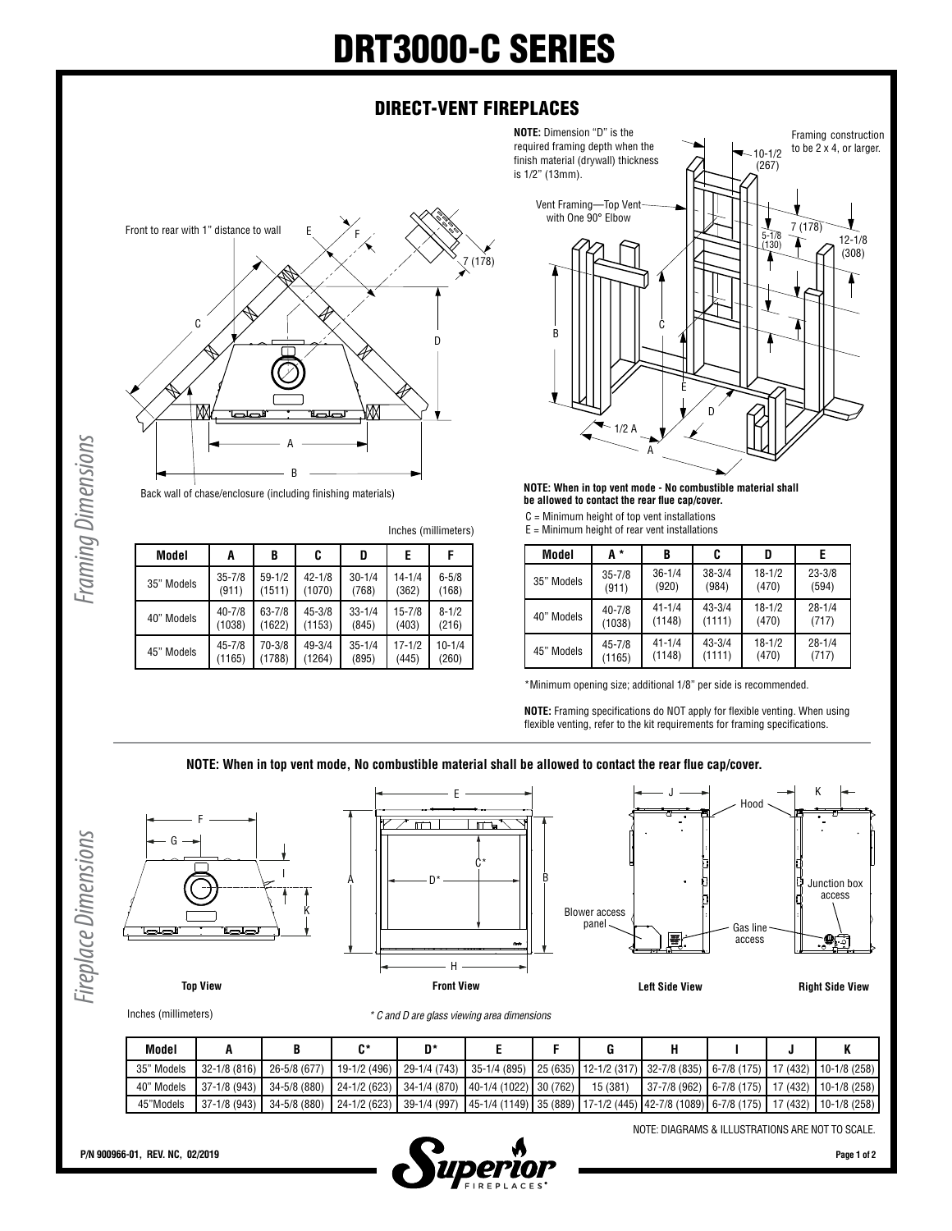## DRT3000-C SERIES

## DIRECT-VENT FIREPLACES

**NOTE:** Dimension "D" is the



**Framing Dimensions** *Framing Dimensions*

Back wall of chase/enclosure (including finishing materials)

Inches (millimeters)

| Model      | A          | B          | C          | D          | E          | F          |
|------------|------------|------------|------------|------------|------------|------------|
| 35" Models | $35 - 7/8$ | $59 - 1/2$ | $42 - 1/8$ | $30 - 1/4$ | 14-1/4     | $6 - 5/8$  |
|            | (911)      | (1511)     | (1070)     | (768)      | (362)      | (168)      |
| 40" Models | $40 - 7/8$ | $63 - 7/8$ | $45 - 3/8$ | $33 - 1/4$ | $15 - 7/8$ | $8 - 1/2$  |
|            | (1038)     | (1622)     | (1153)     | (845)      | (403)      | (216)      |
| 45" Models | $45 - 7/8$ | $70 - 3/8$ | $49 - 3/4$ | $35 - 1/4$ | $17 - 1/2$ | $10 - 1/4$ |
|            | (1165)     | (1788)     | (1264)     | (895)      | (445)      | (260)      |



**NOTE: When in top vent mode - No combustible material shall be allowed to contact the rear flue cap/cover.**

- C = Minimum height of top vent installations
- $E =$  Minimum height of rear vent installations

| Model      | А*         | B          | C          | D          | E          |
|------------|------------|------------|------------|------------|------------|
| 35" Models | $35 - 7/8$ | $36 - 1/4$ | $38 - 3/4$ | $18 - 1/2$ | $23 - 3/8$ |
|            | (911)      | (920)      | (984)      | (470)      | (594)      |
| 40" Models | $40 - 7/8$ | $41 - 1/4$ | $43 - 3/4$ | $18 - 1/2$ | $28 - 1/4$ |
|            | (1038)     | (1148)     | (1111)     | (470)      | (717)      |
| 45" Models | $45 - 7/8$ | $41 - 1/4$ | $43 - 3/4$ | $18 - 1/2$ | $28 - 1/4$ |
|            | (1165)     | (1148)     | (1111)     | (470)      | (717)      |

\*Minimum opening size; additional 1/8" per side is recommended.

**NOTE:** Framing specifications do NOT apply for flexible venting. When using flexible venting, refer to the kit requirements for framing specifications.

**NOTE: When in top vent mode, No combustible material shall be allowed to contact the rear flue cap/cover.**







Inches (millimeters)

*\* C and D are glass viewing area dimensions*

| Model      |                  |              | r* | n* |                                                                                                                              |          |                                                      |  |  |
|------------|------------------|--------------|----|----|------------------------------------------------------------------------------------------------------------------------------|----------|------------------------------------------------------|--|--|
| 35" Models | $32 - 1/8$ (816) | 26-5/8 (677) |    |    | 19-1/2 (496)   29-1/4 (743)   35-1/4 (895)   25 (635)   12-1/2 (317)   32-7/8 (835)   6-7/8 (175)   17 (432)   10-1/8 (258)  |          |                                                      |  |  |
| 40" Models | $37-1/8(943)$    | 34-5/8 (880) |    |    | $\mid$ 24-1/2 (623) $\mid$ 34-1/4 (870) $\mid$ 40-1/4 (1022) $\mid$ 30 (762) $\mid$                                          | 15 (381) | 37-7/8 (962)   6-7/8 (175)   17 (432)   10-1/8 (258) |  |  |
| 45"Models  | 37-1/8 (943)     | 34-5/8 (880) |    |    | 24-1/2 (623)   39-1/4 (997)   45-1/4 (1149)   35 (889)   17-1/2 (445)  42-7/8 (1089)   6-7/8 (175)   17 (432)   10-1/8 (258) |          |                                                      |  |  |

NOTE: DIAGRAMS & ILLUSTRATIONS ARE NOT TO SCALE.



**Page 1 of 2**